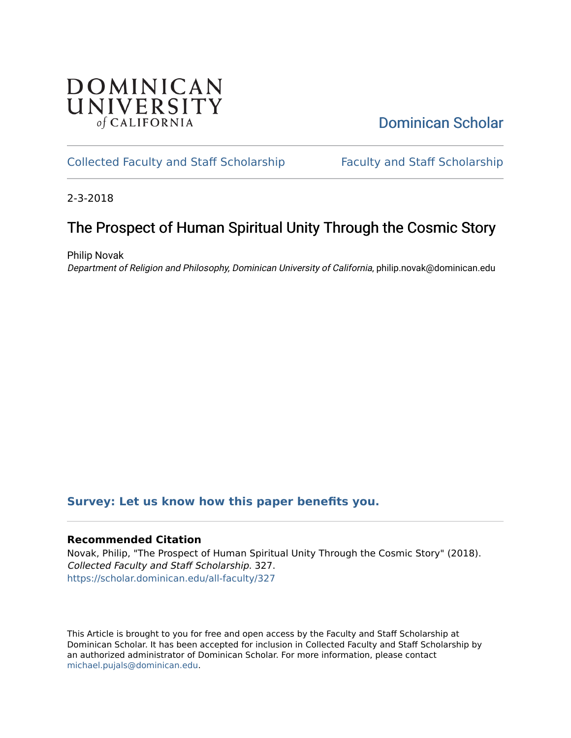# **DOMINICAN** UNIVERSITY of CALIFORNIA

# [Dominican Scholar](https://scholar.dominican.edu/)

## [Collected Faculty and Staff Scholarship](https://scholar.dominican.edu/all-faculty) [Faculty and Staff Scholarship](https://scholar.dominican.edu/faculty-scholarship)

2-3-2018

# The Prospect of Human Spiritual Unity Through the Cosmic Story

Philip Novak Department of Religion and Philosophy, Dominican University of California, philip.novak@dominican.edu

## **[Survey: Let us know how this paper benefits you.](https://dominican.libwizard.com/dominican-scholar-feedback)**

### **Recommended Citation**

Novak, Philip, "The Prospect of Human Spiritual Unity Through the Cosmic Story" (2018). Collected Faculty and Staff Scholarship. 327. [https://scholar.dominican.edu/all-faculty/327](https://scholar.dominican.edu/all-faculty/327?utm_source=scholar.dominican.edu%2Fall-faculty%2F327&utm_medium=PDF&utm_campaign=PDFCoverPages) 

This Article is brought to you for free and open access by the Faculty and Staff Scholarship at Dominican Scholar. It has been accepted for inclusion in Collected Faculty and Staff Scholarship by an authorized administrator of Dominican Scholar. For more information, please contact [michael.pujals@dominican.edu.](mailto:michael.pujals@dominican.edu)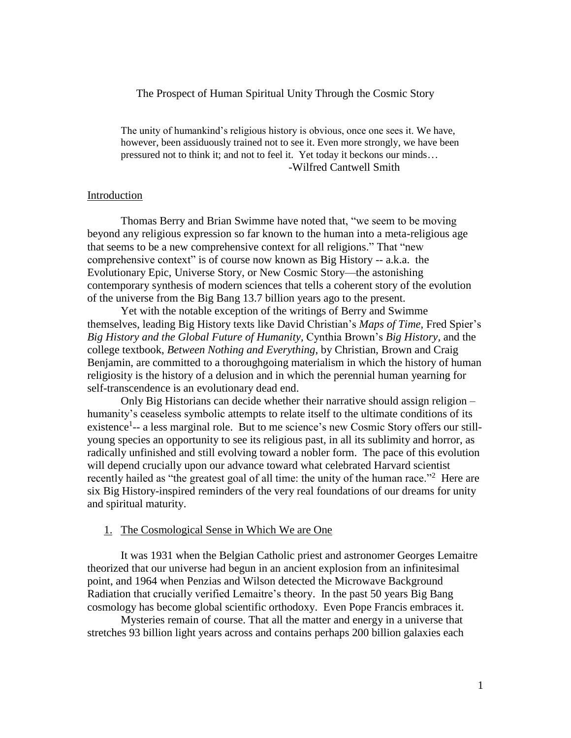#### The Prospect of Human Spiritual Unity Through the Cosmic Story

The unity of humankind's religious history is obvious, once one sees it. We have, however, been assiduously trained not to see it. Even more strongly, we have been pressured not to think it; and not to feel it. Yet today it beckons our minds… -Wilfred Cantwell Smith

#### Introduction

Thomas Berry and Brian Swimme have noted that, "we seem to be moving beyond any religious expression so far known to the human into a meta-religious age that seems to be a new comprehensive context for all religions." That "new comprehensive context" is of course now known as Big History -- a.k.a. the Evolutionary Epic, Universe Story, or New Cosmic Story—the astonishing contemporary synthesis of modern sciences that tells a coherent story of the evolution of the universe from the Big Bang 13.7 billion years ago to the present.

Yet with the notable exception of the writings of Berry and Swimme themselves, leading Big History texts like David Christian's *Maps of Time,* Fred Spier's *Big History and the Global Future of Humanity,* Cynthia Brown's *Big History,* and the college textbook, *Between Nothing and Everything*, by Christian, Brown and Craig Benjamin, are committed to a thoroughgoing materialism in which the history of human religiosity is the history of a delusion and in which the perennial human yearning for self-transcendence is an evolutionary dead end.

Only Big Historians can decide whether their narrative should assign religion – humanity's ceaseless symbolic attempts to relate itself to the ultimate conditions of its existence<sup>1</sup>-- a less marginal role. But to me science's new Cosmic Story offers our stillyoung species an opportunity to see its religious past, in all its sublimity and horror, as radically unfinished and still evolving toward a nobler form. The pace of this evolution will depend crucially upon our advance toward what celebrated Harvard scientist recently hailed as "the greatest goal of all time: the unity of the human race."<sup>2</sup> Here are six Big History-inspired reminders of the very real foundations of our dreams for unity and spiritual maturity.

#### 1. The Cosmological Sense in Which We are One

It was 1931 when the Belgian Catholic priest and astronomer Georges Lemaitre theorized that our universe had begun in an ancient explosion from an infinitesimal point, and 1964 when Penzias and Wilson detected the Microwave Background Radiation that crucially verified Lemaitre's theory. In the past 50 years Big Bang cosmology has become global scientific orthodoxy. Even Pope Francis embraces it.

Mysteries remain of course. That all the matter and energy in a universe that stretches 93 billion light years across and contains perhaps 200 billion galaxies each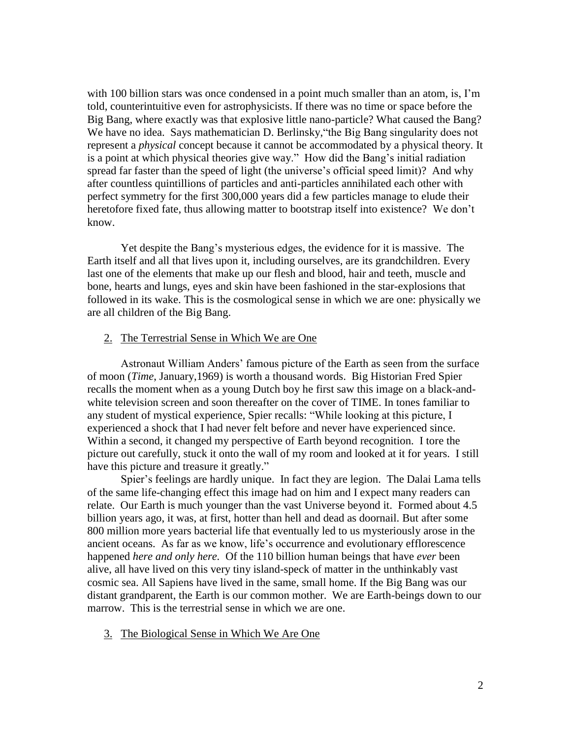with 100 billion stars was once condensed in a point much smaller than an atom, is, I'm told, counterintuitive even for astrophysicists. If there was no time or space before the Big Bang, where exactly was that explosive little nano-particle? What caused the Bang? We have no idea. Says mathematician D. Berlinsky, "the Big Bang singularity does not represent a *physical* concept because it cannot be accommodated by a physical theory. It is a point at which physical theories give way." How did the Bang's initial radiation spread far faster than the speed of light (the universe's official speed limit)? And why after countless quintillions of particles and anti-particles annihilated each other with perfect symmetry for the first 300,000 years did a few particles manage to elude their heretofore fixed fate, thus allowing matter to bootstrap itself into existence? We don't know.

Yet despite the Bang's mysterious edges, the evidence for it is massive. The Earth itself and all that lives upon it, including ourselves, are its grandchildren. Every last one of the elements that make up our flesh and blood, hair and teeth, muscle and bone, hearts and lungs, eyes and skin have been fashioned in the star-explosions that followed in its wake. This is the cosmological sense in which we are one: physically we are all children of the Big Bang.

### 2. The Terrestrial Sense in Which We are One

Astronaut William Anders' famous picture of the Earth as seen from the surface of moon (*Time*, January,1969) is worth a thousand words. Big Historian Fred Spier recalls the moment when as a young Dutch boy he first saw this image on a black-andwhite television screen and soon thereafter on the cover of TIME. In tones familiar to any student of mystical experience, Spier recalls: "While looking at this picture, I experienced a shock that I had never felt before and never have experienced since. Within a second, it changed my perspective of Earth beyond recognition. I tore the picture out carefully, stuck it onto the wall of my room and looked at it for years. I still have this picture and treasure it greatly."

Spier's feelings are hardly unique. In fact they are legion. The Dalai Lama tells of the same life-changing effect this image had on him and I expect many readers can relate. Our Earth is much younger than the vast Universe beyond it. Formed about 4.5 billion years ago, it was, at first, hotter than hell and dead as doornail. But after some 800 million more years bacterial life that eventually led to us mysteriously arose in the ancient oceans. As far as we know, life's occurrence and evolutionary efflorescence happened *here and only here.* Of the 110 billion human beings that have *ever* been alive, all have lived on this very tiny island-speck of matter in the unthinkably vast cosmic sea. All Sapiens have lived in the same, small home. If the Big Bang was our distant grandparent, the Earth is our common mother. We are Earth-beings down to our marrow. This is the terrestrial sense in which we are one.

#### 3. The Biological Sense in Which We Are One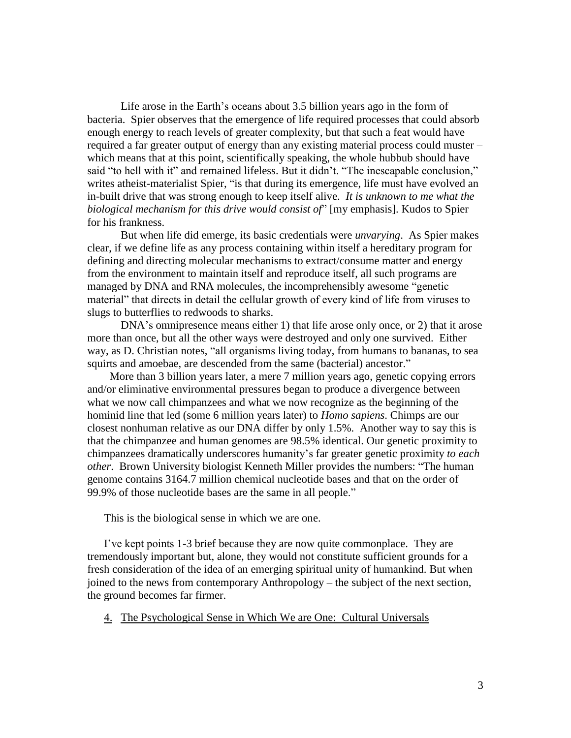Life arose in the Earth's oceans about 3.5 billion years ago in the form of bacteria. Spier observes that the emergence of life required processes that could absorb enough energy to reach levels of greater complexity, but that such a feat would have required a far greater output of energy than any existing material process could muster – which means that at this point, scientifically speaking, the whole hubbub should have said "to hell with it" and remained lifeless. But it didn't. "The inescapable conclusion," writes atheist-materialist Spier, "is that during its emergence, life must have evolved an in-built drive that was strong enough to keep itself alive. *It is unknown to me what the biological mechanism for this drive would consist of*" [my emphasis]. Kudos to Spier for his frankness.

But when life did emerge, its basic credentials were *unvarying*. As Spier makes clear, if we define life as any process containing within itself a hereditary program for defining and directing molecular mechanisms to extract/consume matter and energy from the environment to maintain itself and reproduce itself, all such programs are managed by DNA and RNA molecules, the incomprehensibly awesome "genetic material" that directs in detail the cellular growth of every kind of life from viruses to slugs to butterflies to redwoods to sharks.

 DNA's omnipresence means either 1) that life arose only once, or 2) that it arose more than once, but all the other ways were destroyed and only one survived. Either way, as D. Christian notes, "all organisms living today, from humans to bananas, to sea squirts and amoebae, are descended from the same (bacterial) ancestor."

 More than 3 billion years later, a mere 7 million years ago, genetic copying errors and/or eliminative environmental pressures began to produce a divergence between what we now call chimpanzees and what we now recognize as the beginning of the hominid line that led (some 6 million years later) to *Homo sapiens*. Chimps are our closest nonhuman relative as our DNA differ by only 1.5%. Another way to say this is that the chimpanzee and human genomes are 98.5% identical. Our genetic proximity to chimpanzees dramatically underscores humanity's far greater genetic proximity *to each other*. Brown University biologist Kenneth Miller provides the numbers: "The human genome contains 3164.7 million chemical nucleotide bases and that on the order of 99.9% of those nucleotide bases are the same in all people."

This is the biological sense in which we are one.

I've kept points 1-3 brief because they are now quite commonplace. They are tremendously important but, alone, they would not constitute sufficient grounds for a fresh consideration of the idea of an emerging spiritual unity of humankind. But when joined to the news from contemporary Anthropology – the subject of the next section, the ground becomes far firmer.

4. The Psychological Sense in Which We are One: Cultural Universals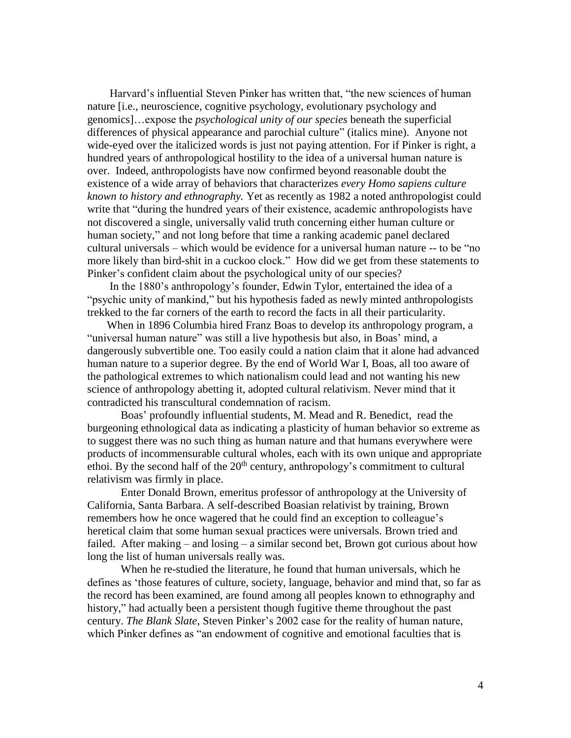Harvard's influential Steven Pinker has written that, "the new sciences of human nature [i.e., neuroscience, cognitive psychology, evolutionary psychology and genomics]…expose the *psychological unity of our species* beneath the superficial differences of physical appearance and parochial culture" (italics mine). Anyone not wide-eyed over the italicized words is just not paying attention. For if Pinker is right, a hundred years of anthropological hostility to the idea of a universal human nature is over. Indeed, anthropologists have now confirmed beyond reasonable doubt the existence of a wide array of behaviors that characterizes *every Homo sapiens culture known to history and ethnography.* Yet as recently as 1982 a noted anthropologist could write that "during the hundred years of their existence, academic anthropologists have not discovered a single, universally valid truth concerning either human culture or human society," and not long before that time a ranking academic panel declared cultural universals – which would be evidence for a universal human nature -- to be "no more likely than bird-shit in a cuckoo clock." How did we get from these statements to Pinker's confident claim about the psychological unity of our species?

 In the 1880's anthropology's founder, Edwin Tylor, entertained the idea of a "psychic unity of mankind," but his hypothesis faded as newly minted anthropologists trekked to the far corners of the earth to record the facts in all their particularity.

 When in 1896 Columbia hired Franz Boas to develop its anthropology program, a "universal human nature" was still a live hypothesis but also, in Boas' mind, a dangerously subvertible one. Too easily could a nation claim that it alone had advanced human nature to a superior degree. By the end of World War I, Boas, all too aware of the pathological extremes to which nationalism could lead and not wanting his new science of anthropology abetting it, adopted cultural relativism. Never mind that it contradicted his transcultural condemnation of racism.

Boas' profoundly influential students, M. Mead and R. Benedict, read the burgeoning ethnological data as indicating a plasticity of human behavior so extreme as to suggest there was no such thing as human nature and that humans everywhere were products of incommensurable cultural wholes, each with its own unique and appropriate ethoi. By the second half of the  $20<sup>th</sup>$  century, anthropology's commitment to cultural relativism was firmly in place.

Enter Donald Brown, emeritus professor of anthropology at the University of California, Santa Barbara. A self-described Boasian relativist by training, Brown remembers how he once wagered that he could find an exception to colleague's heretical claim that some human sexual practices were universals. Brown tried and failed. After making – and losing – a similar second bet, Brown got curious about how long the list of human universals really was.

When he re-studied the literature, he found that human universals, which he defines as 'those features of culture, society, language, behavior and mind that, so far as the record has been examined, are found among all peoples known to ethnography and history," had actually been a persistent though fugitive theme throughout the past century. *The Blank Slate*, Steven Pinker's 2002 case for the reality of human nature, which Pinker defines as "an endowment of cognitive and emotional faculties that is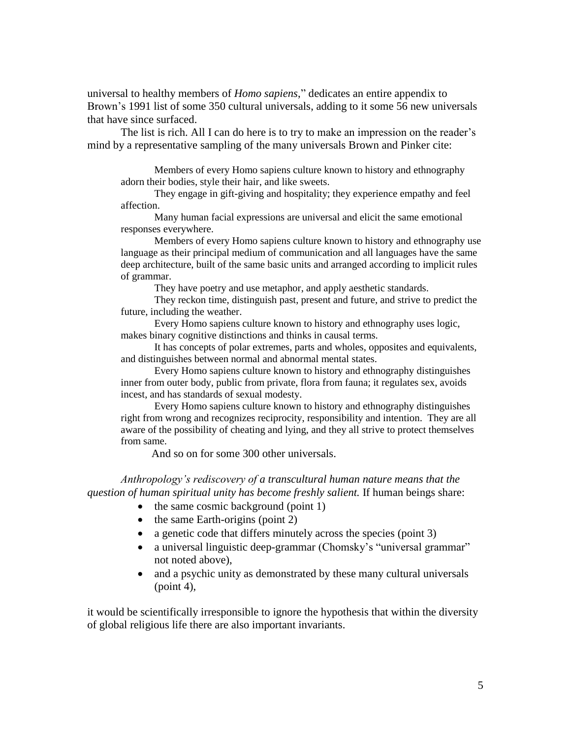universal to healthy members of *Homo sapiens*," dedicates an entire appendix to Brown's 1991 list of some 350 cultural universals, adding to it some 56 new universals that have since surfaced.

The list is rich. All I can do here is to try to make an impression on the reader's mind by a representative sampling of the many universals Brown and Pinker cite:

Members of every Homo sapiens culture known to history and ethnography adorn their bodies, style their hair, and like sweets.

They engage in gift-giving and hospitality; they experience empathy and feel affection.

Many human facial expressions are universal and elicit the same emotional responses everywhere.

Members of every Homo sapiens culture known to history and ethnography use language as their principal medium of communication and all languages have the same deep architecture, built of the same basic units and arranged according to implicit rules of grammar.

They have poetry and use metaphor, and apply aesthetic standards.

They reckon time, distinguish past, present and future, and strive to predict the future, including the weather.

Every Homo sapiens culture known to history and ethnography uses logic, makes binary cognitive distinctions and thinks in causal terms.

It has concepts of polar extremes, parts and wholes, opposites and equivalents, and distinguishes between normal and abnormal mental states.

Every Homo sapiens culture known to history and ethnography distinguishes inner from outer body, public from private, flora from fauna; it regulates sex, avoids incest, and has standards of sexual modesty.

Every Homo sapiens culture known to history and ethnography distinguishes right from wrong and recognizes reciprocity, responsibility and intention. They are all aware of the possibility of cheating and lying, and they all strive to protect themselves from same.

And so on for some 300 other universals.

*Anthropology's rediscovery of a transcultural human nature means that the question of human spiritual unity has become freshly salient.* If human beings share:

- $\bullet$  the same cosmic background (point 1)
- $\bullet$  the same Earth-origins (point 2)
- a genetic code that differs minutely across the species (point 3)
- a universal linguistic deep-grammar (Chomsky's "universal grammar" not noted above),
- and a psychic unity as demonstrated by these many cultural universals  $(point 4)$ ,

it would be scientifically irresponsible to ignore the hypothesis that within the diversity of global religious life there are also important invariants.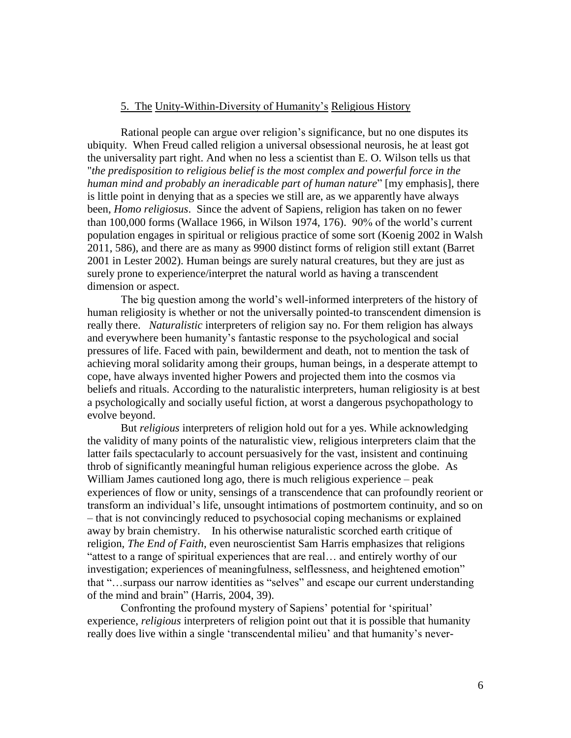#### 5. The Unity-Within-Diversity of Humanity's Religious History

Rational people can argue over religion's significance, but no one disputes its ubiquity. When Freud called religion a universal obsessional neurosis, he at least got the universality part right. And when no less a scientist than E. O. Wilson tells us that "*the predisposition to religious belief is the most complex and powerful force in the human mind and probably an ineradicable part of human nature*" [my emphasis], there is little point in denying that as a species we still are, as we apparently have always been, *Homo religiosus*. Since the advent of Sapiens, religion has taken on no fewer than 100,000 forms (Wallace 1966, in Wilson 1974, 176). 90% of the world's current population engages in spiritual or religious practice of some sort (Koenig 2002 in Walsh 2011, 586), and there are as many as 9900 distinct forms of religion still extant (Barret 2001 in Lester 2002). Human beings are surely natural creatures, but they are just as surely prone to experience/interpret the natural world as having a transcendent dimension or aspect.

The big question among the world's well-informed interpreters of the history of human religiosity is whether or not the universally pointed-to transcendent dimension is really there. *Naturalistic* interpreters of religion say no. For them religion has always and everywhere been humanity's fantastic response to the psychological and social pressures of life. Faced with pain, bewilderment and death, not to mention the task of achieving moral solidarity among their groups, human beings, in a desperate attempt to cope, have always invented higher Powers and projected them into the cosmos via beliefs and rituals. According to the naturalistic interpreters, human religiosity is at best a psychologically and socially useful fiction, at worst a dangerous psychopathology to evolve beyond.

But *religious* interpreters of religion hold out for a yes. While acknowledging the validity of many points of the naturalistic view, religious interpreters claim that the latter fails spectacularly to account persuasively for the vast, insistent and continuing throb of significantly meaningful human religious experience across the globe. As William James cautioned long ago, there is much religious experience – peak experiences of flow or unity, sensings of a transcendence that can profoundly reorient or transform an individual's life, unsought intimations of postmortem continuity, and so on – that is not convincingly reduced to psychosocial coping mechanisms or explained away by brain chemistry. In his otherwise naturalistic scorched earth critique of religion, *The End of Faith*, even neuroscientist Sam Harris emphasizes that religions "attest to a range of spiritual experiences that are real… and entirely worthy of our investigation; experiences of meaningfulness, selflessness, and heightened emotion" that "…surpass our narrow identities as "selves" and escape our current understanding of the mind and brain" (Harris, 2004, 39).

Confronting the profound mystery of Sapiens' potential for 'spiritual' experience, *religious* interpreters of religion point out that it is possible that humanity really does live within a single 'transcendental milieu' and that humanity's never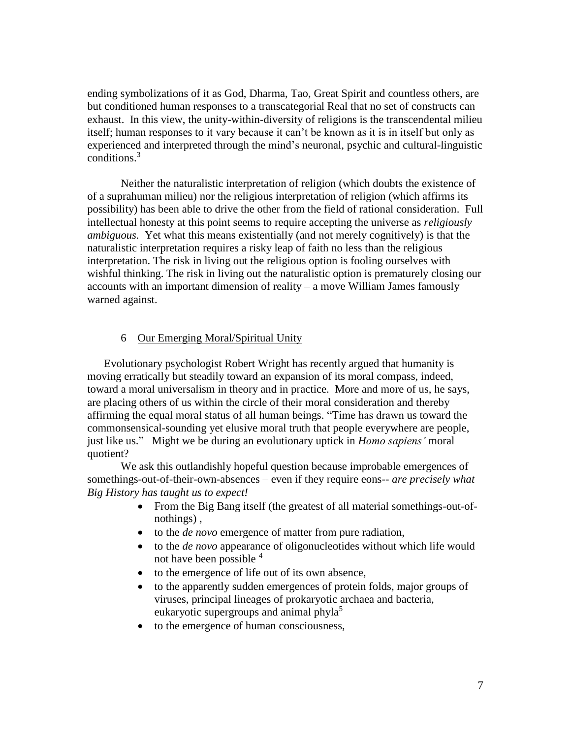ending symbolizations of it as God, Dharma, Tao, Great Spirit and countless others, are but conditioned human responses to a transcategorial Real that no set of constructs can exhaust. In this view, the unity-within-diversity of religions is the transcendental milieu itself; human responses to it vary because it can't be known as it is in itself but only as experienced and interpreted through the mind's neuronal, psychic and cultural-linguistic conditions. 3

Neither the naturalistic interpretation of religion (which doubts the existence of of a suprahuman milieu) nor the religious interpretation of religion (which affirms its possibility) has been able to drive the other from the field of rational consideration. Full intellectual honesty at this point seems to require accepting the universe as *religiously ambiguous.* Yet what this means existentially (and not merely cognitively) is that the naturalistic interpretation requires a risky leap of faith no less than the religious interpretation. The risk in living out the religious option is fooling ourselves with wishful thinking. The risk in living out the naturalistic option is prematurely closing our accounts with an important dimension of reality – a move William James famously warned against.

### 6 Our Emerging Moral/Spiritual Unity

Evolutionary psychologist Robert Wright has recently argued that humanity is moving erratically but steadily toward an expansion of its moral compass, indeed, toward a moral universalism in theory and in practice. More and more of us, he says, are placing others of us within the circle of their moral consideration and thereby affirming the equal moral status of all human beings. "Time has drawn us toward the commonsensical-sounding yet elusive moral truth that people everywhere are people, just like us." Might we be during an evolutionary uptick in *Homo sapiens'* moral quotient?

We ask this outlandishly hopeful question because improbable emergences of somethings-out-of-their-own-absences – even if they require eons-- *are precisely what Big History has taught us to expect!*

- From the Big Bang itself (the greatest of all material somethings-out-ofnothings) ,
- to the *de novo* emergence of matter from pure radiation,
- to the *de novo* appearance of oligonucleotides without which life would not have been possible <sup>4</sup>
- to the emergence of life out of its own absence,
- to the apparently sudden emergences of protein folds, major groups of viruses, principal lineages of prokaryotic archaea and bacteria, eukaryotic supergroups and animal phyla<sup>5</sup>
- to the emergence of human consciousness,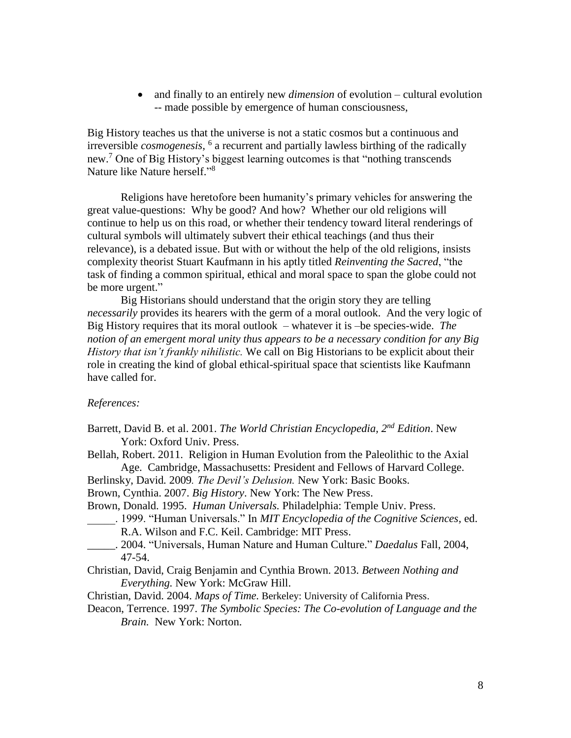and finally to an entirely new *dimension* of evolution – cultural evolution -- made possible by emergence of human consciousness,

Big History teaches us that the universe is not a static cosmos but a continuous and irreversible *cosmogenesis,* 6 a recurrent and partially lawless birthing of the radically new. <sup>7</sup> One of Big History's biggest learning outcomes is that "nothing transcends Nature like Nature herself."<sup>8</sup>

Religions have heretofore been humanity's primary vehicles for answering the great value-questions: Why be good? And how? Whether our old religions will continue to help us on this road, or whether their tendency toward literal renderings of cultural symbols will ultimately subvert their ethical teachings (and thus their relevance), is a debated issue. But with or without the help of the old religions, insists complexity theorist Stuart Kaufmann in his aptly titled *Reinventing the Sacred*, "the task of finding a common spiritual, ethical and moral space to span the globe could not be more urgent."

Big Historians should understand that the origin story they are telling *necessarily* provides its hearers with the germ of a moral outlook. And the very logic of Big History requires that its moral outlook – whatever it is –be species-wide. *The notion of an emergent moral unity thus appears to be a necessary condition for any Big History that isn't frankly nihilistic.* We call on Big Historians to be explicit about their role in creating the kind of global ethical-spiritual space that scientists like Kaufmann have called for.

#### *References:*

- Barrett, David B. et al. 2001. *The World Christian Encyclopedia, 2nd Edition*. New York: Oxford Univ. Press.
- Bellah, Robert. 2011. Religion in Human Evolution from the Paleolithic to the Axial Age. Cambridge, Massachusetts: President and Fellows of Harvard College.
- Berlinsky, David*.* 2009*. The Devil's Delusion.* New York: Basic Books.
- Brown, Cynthia. 2007. *Big History*. New York: The New Press.
- Brown, Donald. 1995. *Human Universals.* Philadelphia: Temple Univ. Press.
- \_\_\_\_\_. 1999. "Human Universals." In *MIT Encyclopedia of the Cognitive Sciences,* ed. R.A. Wilson and F.C. Keil. Cambridge: MIT Press.
- \_\_\_\_\_. 2004. "Universals, Human Nature and Human Culture." *Daedalus* Fall, 2004, 47-54.
- Christian, David, Craig Benjamin and Cynthia Brown. 2013. *Between Nothing and Everything.* New York: McGraw Hill.
- Christian, David. 2004. *Maps of Time.* Berkeley: University of California Press.
- Deacon, Terrence. 1997. *The Symbolic Species: The Co-evolution of Language and the Brain.* New York: Norton.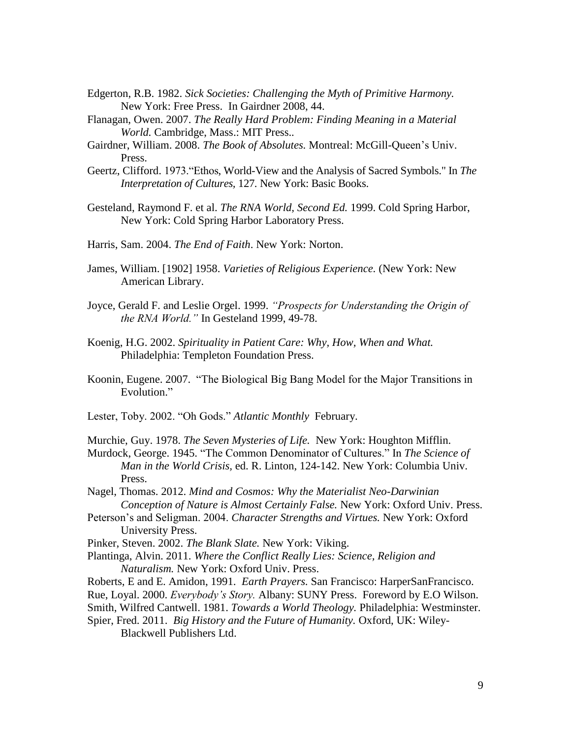- Edgerton, R.B. 1982. *Sick Societies: Challenging the Myth of Primitive Harmony.*  New York: Free Press. In Gairdner 2008, 44.
- Flanagan, Owen. 2007. *The Really Hard Problem: Finding Meaning in a Material World.* Cambridge, Mass.: MIT Press.*.*
- Gairdner, William. 2008. *The Book of Absolutes.* Montreal: McGill-Queen's Univ. Press.
- Geertz, Clifford. 1973."Ethos, World-View and the Analysis of Sacred Symbols." In *The Interpretation of Cultures,* 127*.* New York: Basic Books.
- Gesteland, Raymond F. et al. *The RNA World, Second Ed.* 1999. Cold Spring Harbor, New York: Cold Spring Harbor Laboratory Press.
- Harris, Sam. 2004. *The End of Faith*. New York: Norton.
- James, William. [1902] 1958. *Varieties of Religious Experience.* (New York: New American Library.
- Joyce, Gerald F. and Leslie Orgel. 1999. *"Prospects for Understanding the Origin of the RNA World."* In Gesteland 1999, 49-78.
- Koenig, H.G. 2002. *Spirituality in Patient Care: Why, How, When and What.*  Philadelphia: Templeton Foundation Press.
- Koonin, Eugene. 2007. "The Biological Big Bang Model for the Major Transitions in Evolution."
- Lester, Toby. 2002. "Oh Gods." *Atlantic Monthly* February.
- Murchie, Guy. 1978. *The Seven Mysteries of Life.* New York: Houghton Mifflin.
- Murdock, George. 1945. "The Common Denominator of Cultures." In *The Science of Man in the World Crisis,* ed. R. Linton, 124-142. New York: Columbia Univ. Press.
- Nagel, Thomas. 2012. *Mind and Cosmos: Why the Materialist Neo-Darwinian Conception of Nature is Almost Certainly False.* New York: Oxford Univ. Press.
- Peterson's and Seligman. 2004. *Character Strengths and Virtues.* New York: Oxford University Press.
- Pinker, Steven. 2002. *The Blank Slate.* New York: Viking.
- Plantinga, Alvin. 2011. *Where the Conflict Really Lies: Science, Religion and Naturalism.* New York: Oxford Univ. Press.
- Roberts, E and E. Amidon, 1991. *Earth Prayers.* San Francisco: HarperSanFrancisco.
- Rue, Loyal. 2000. *Everybody's Story.* Albany: SUNY Press. Foreword by E.O Wilson.
- Smith, Wilfred Cantwell. 1981. *Towards a World Theology.* Philadelphia: Westminster.
- Spier, Fred. 2011. *Big History and the Future of Humanity.* Oxford, UK: Wiley-Blackwell Publishers Ltd.